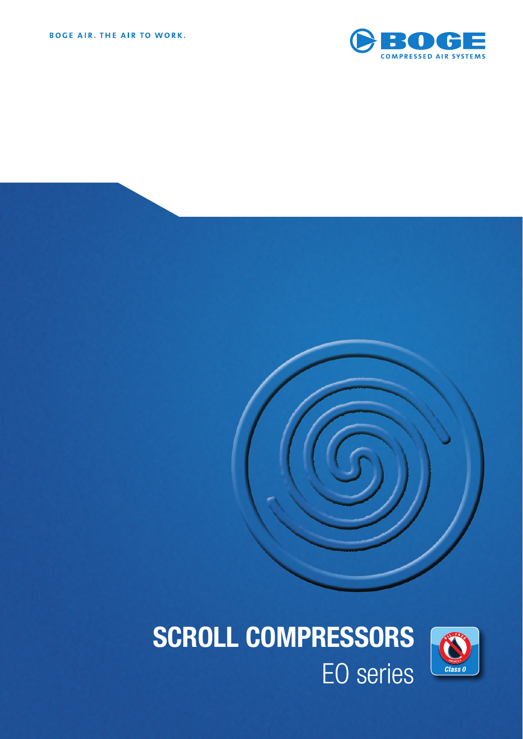





SCROLL COMPRESSORS EO series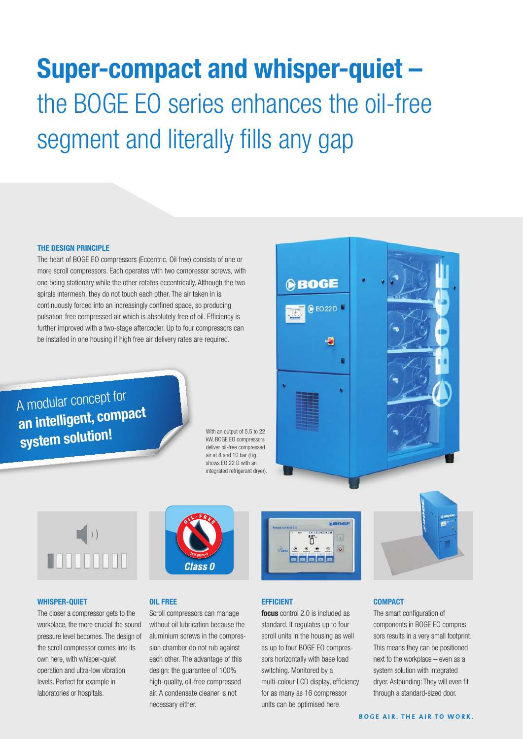# **Super-compact and whisper-quiet –**  the BOGE EO series enhances the oil-free segment and literally fills any gap

## **THE DESIGN PRINCIPLE**

The heart of BOGE EO compressors (Eccentric, Oil free) consists of one or more scroll compressors. Each operates with two compressor screws, with one being stationary while the other rotates eccentrically. Although the two spirals intermesh, they do not touch each other. The air taken in is continuously forced into an increasingly confined space, so producing pulsation-free compressed air which is absolutely free of oil. Efficiency is further improved with a two-stage aftercooler. Up to four compressors can be installed in one housing if high free air delivery rates are required.

A modular concept for **an intelligent, compact system solution!**

With an output of 5.5 to 22 kW, BOGE EO compressors deliver oil-free compressed air at 8 and 10 bar (Fig. shows EO 22 D with an integrated refrigerant dryer).





#### **WHISPER-QUIET**

The closer a compressor gets to the workplace, the more crucial the sound pressure level becomes. The design of the scroll compressor comes into its own here, with whisper-quiet operation and ultra-low vibration levels. Perfect for example in laboratories or hospitals.



## **OIL FREE**

Scroll compressors can manage without oil lubrication because the aluminium screws in the compression chamber do not rub against each other. The advantage of this design: the guarantee of 100% high-quality, oil-free compressed air. A condensate cleaner is not necessary either.



## **EFFICIENT**

**focus** control 2.0 is included as standard. It regulates up to four scroll units in the housing as well as up to four BOGE EO compressors horizontally with base load switching. Monitored by a multi-colour LCD display, efficiency for as many as 16 compressor units can be optimised here.



The smart configuration of components in BOGE EO compressors results in a very small footprint. This means they can be positioned next to the workplace – even as a system solution with integrated dryer. Astounding: They will even fit through a standard-sized door.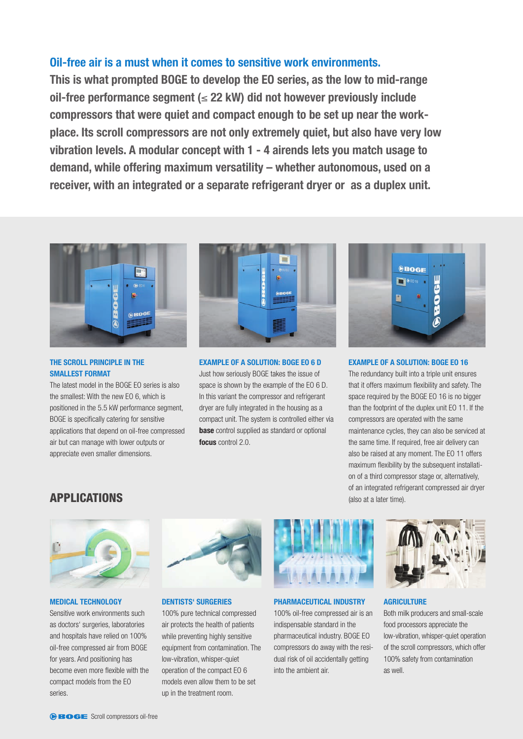## **Oil-free air is a must when it comes to sensitive work environments.**

**This is what prompted BOGE to develop the EO series, as the low to mid-range oil-free performance segment (**≤ **22 kW) did not however previously include compressors that were quiet and compact enough to be set up near the workplace. Its scroll compressors are not only extremely quiet, but also have very low vibration levels. A modular concept with 1 - 4 airends lets you match usage to demand, while offering maximum versatility – whether autonomous, used on a receiver, with an integrated or a separate refrigerant dryer or as a duplex unit.**



## **THE SCROLL PRINCIPLE IN THE SMALLEST FORMAT**

The latest model in the BOGE EO series is also the smallest: With the new EO 6, which is positioned in the 5.5 kW performance segment, BOGE is specifically catering for sensitive applications that depend on oil-free compressed air but can manage with lower outputs or appreciate even smaller dimensions.



## **EXAMPLE OF A SOLUTION: BOGE EO 6 D**

Just how seriously BOGE takes the issue of space is shown by the example of the EO 6 D. In this variant the compressor and refrigerant dryer are fully integrated in the housing as a compact unit. The system is controlled either via **base** control supplied as standard or optional **focus** control 2.0.



## **EXAMPLE OF A SOLUTION: BOGE EO 16**

The redundancy built into a triple unit ensures that it offers maximum flexibility and safety. The space required by the BOGE EO 16 is no bigger than the footprint of the duplex unit EO 11. If the compressors are operated with the same maintenance cycles, they can also be serviced at the same time. If required, free air delivery can also be raised at any moment. The EO 11 offers maximum flexibility by the subsequent installation of a third compressor stage or, alternatively, of an integrated refrigerant compressed air dryer (also at a later time).

## **APPLICATIONS**



## **MEDICAL TECHNOLOGY**

Sensitive work environments such as doctors' surgeries, laboratories and hospitals have relied on 100% oil-free compressed air from BOGE for years. And positioning has become even more flexible with the compact models from the EO series.



**DENTISTS' SURGERIES** 

100% pure technical compressed air protects the health of patients while preventing highly sensitive equipment from contamination. The low-vibration, whisper-quiet operation of the compact EO 6 models even allow them to be set up in the treatment room.



## **PHARMACEUTICAL INDUSTRY**

100% oil-free compressed air is an indispensable standard in the pharmaceutical industry. BOGE EO compressors do away with the residual risk of oil accidentally getting into the ambient air.



## **AGRICULTURE**

Both milk producers and small-scale food processors appreciate the low-vibration, whisper-quiet operation of the scroll compressors, which offer 100% safety from contamination as well.